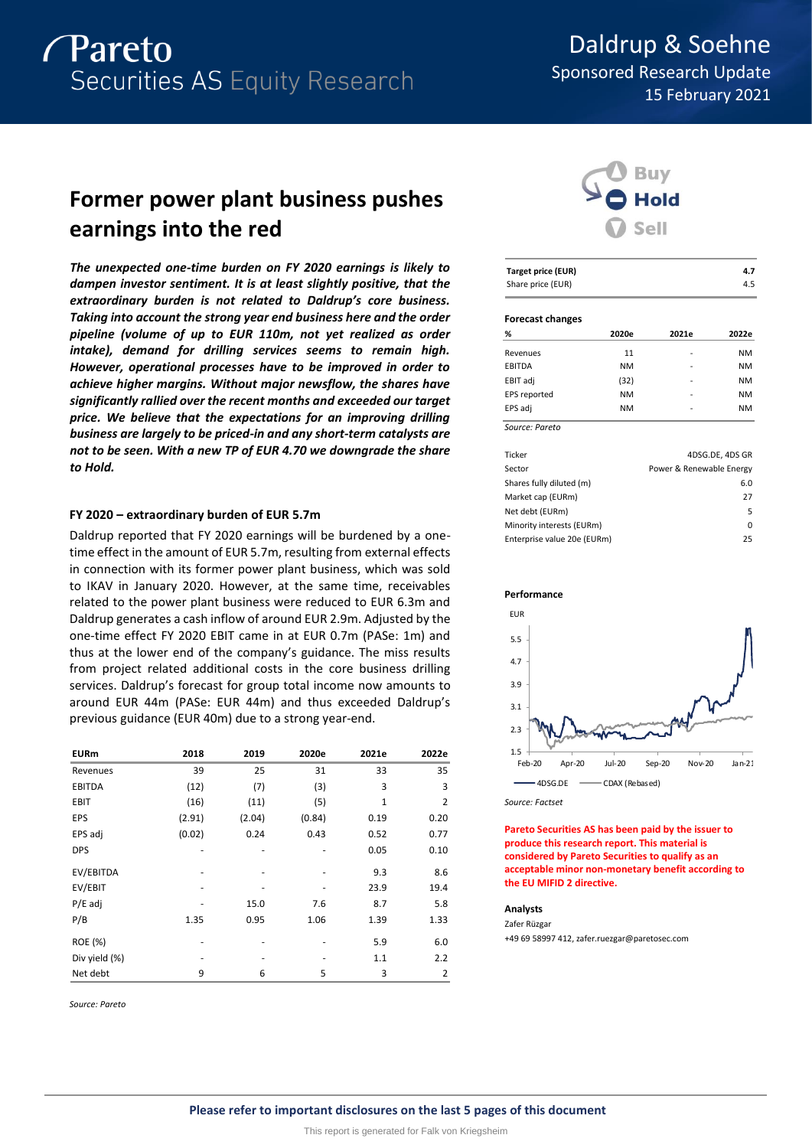

## Daldrup & Soehne Sponsored Research Update 15 February 2021

## **Former power plant business pushes earnings into the red**

*The unexpected one-time burden on FY 2020 earnings is likely to dampen investor sentiment. It is at least slightly positive, that the extraordinary burden is not related to Daldrup's core business. Taking into account the strong year end business here and the order pipeline (volume of up to EUR 110m, not yet realized as order intake), demand for drilling services seems to remain high. However, operational processes have to be improved in order to achieve higher margins. Without major newsflow, the shares have significantly rallied over the recent months and exceeded our target price. We believe that the expectations for an improving drilling business are largely to be priced-in and any short-term catalysts are not to be seen. With a new TP of EUR 4.70 we downgrade the share to Hold.*

#### **FY 2020 – extraordinary burden of EUR 5.7m**

Daldrup reported that FY 2020 earnings will be burdened by a onetime effect in the amount of EUR 5.7m, resulting from external effects in connection with its former power plant business, which was sold to IKAV in January 2020. However, at the same time, receivables related to the power plant business were reduced to EUR 6.3m and Daldrup generates a cash inflow of around EUR 2.9m. Adjusted by the one-time effect FY 2020 EBIT came in at EUR 0.7m (PASe: 1m) and thus at the lower end of the company's guidance. The miss results from project related additional costs in the core business drilling services. Daldrup's forecast for group total income now amounts to around EUR 44m (PASe: EUR 44m) and thus exceeded Daldrup's previous guidance (EUR 40m) due to a strong year-end.

| <b>EURm</b>   | 2018   | 2019   | 2020e  | 2021e | 2022e          |
|---------------|--------|--------|--------|-------|----------------|
| Revenues      | 39     | 25     | 31     | 33    | 35             |
| <b>EBITDA</b> | (12)   | (7)    | (3)    | 3     | 3              |
| <b>EBIT</b>   | (16)   | (11)   | (5)    | 1     | 2              |
| EPS           | (2.91) | (2.04) | (0.84) | 0.19  | 0.20           |
| EPS adj       | (0.02) | 0.24   | 0.43   | 0.52  | 0.77           |
| <b>DPS</b>    |        |        |        | 0.05  | 0.10           |
| EV/EBITDA     |        |        |        | 9.3   | 8.6            |
| EV/EBIT       |        |        |        | 23.9  | 19.4           |
| $P/E$ adj     |        | 15.0   | 7.6    | 8.7   | 5.8            |
| P/B           | 1.35   | 0.95   | 1.06   | 1.39  | 1.33           |
| ROE (%)       |        |        |        | 5.9   | 6.0            |
| Div yield (%) |        |        |        | 1.1   | 2.2            |
| Net debt      | 9      | 6      | 5      | 3     | $\overline{2}$ |

*Source: Pareto*



| <b>Target price (EUR)</b> | 4.7 |
|---------------------------|-----|
| Share price (EUR)         | 4.5 |

#### **Forecast changes**

| %              | 2020e     | 2021e | 2022e     |
|----------------|-----------|-------|-----------|
| Revenues       | 11        | ۰     | <b>NM</b> |
| EBITDA         | <b>NM</b> |       | <b>NM</b> |
| EBIT adj       | (32)      | ۰     | <b>NM</b> |
| EPS reported   | <b>NM</b> |       | <b>NM</b> |
| EPS adj        | <b>NM</b> | ۰     | <b>NM</b> |
| Source: Pareto |           |       |           |

| Ticker                      | 4DSG.DE, 4DS GR          |
|-----------------------------|--------------------------|
| Sector                      | Power & Renewable Energy |
| Shares fully diluted (m)    | 6.0                      |
| Market cap (EURm)           | 27                       |
| Net debt (EURm)             | 5.                       |
| Minority interests (EURm)   | 0                        |
| Enterprise value 20e (EURm) | 25                       |





*Source: Factset*

**Pareto Securities AS has been paid by the issuer to produce this research report. This material is considered by Pareto Securities to qualify as an acceptable minor non-monetary benefit according to the EU MIFID 2 directive.**

#### **Analysts**

Zafer Rüzgar +49 69 58997 412, zafer.ruezgar@paretosec.com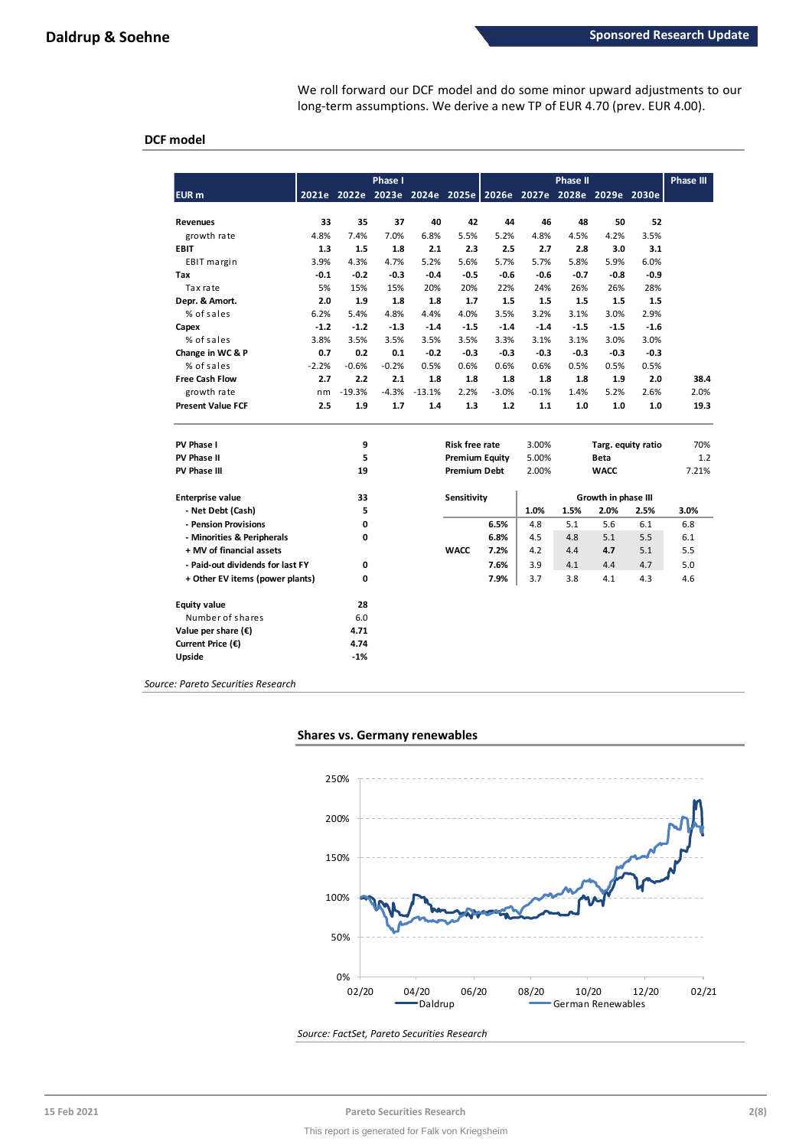We roll forward our DCF model and do some minor upward adjustments to our long-term assumptions. We derive a new TP of EUR 4.70 (prev. EUR 4.00).

### **DCF model**

|                                  |         |          | <b>Phase I</b> |          |                       |                                                             |         | <b>Phase II</b> |                     |                    | <b>Phase III</b> |
|----------------------------------|---------|----------|----------------|----------|-----------------------|-------------------------------------------------------------|---------|-----------------|---------------------|--------------------|------------------|
| <b>EUR</b> m                     |         |          |                |          |                       | 2021e 2022e 2023e 2024e 2025e 2026e 2027e 2028e 2029e 2030e |         |                 |                     |                    |                  |
| <b>Revenues</b>                  | 33      | 35       | 37             | 40       | 42                    | 44                                                          | 46      | 48              | 50                  | 52                 |                  |
| growth rate                      | 4.8%    | 7.4%     | 7.0%           | 6.8%     | 5.5%                  | 5.2%                                                        | 4.8%    | 4.5%            | 4.2%                | 3.5%               |                  |
| <b>EBIT</b>                      | 1.3     | 1.5      | 1.8            | 2.1      | 2.3                   | 2.5                                                         | 2.7     | 2.8             | 3.0                 | 3.1                |                  |
| EBIT margin                      | 3.9%    | 4.3%     | 4.7%           | 5.2%     | 5.6%                  | 5.7%                                                        | 5.7%    | 5.8%            | 5.9%                | 6.0%               |                  |
| Tax                              | $-0.1$  | $-0.2$   | $-0.3$         | $-0.4$   | $-0.5$                | $-0.6$                                                      | -0.6    | $-0.7$          | $-0.8$              | $-0.9$             |                  |
| Tax rate                         | 5%      | 15%      | 15%            | 20%      | 20%                   | 22%                                                         | 24%     | 26%             | 26%                 | 28%                |                  |
| Depr. & Amort.                   | 2.0     | 1.9      | 1.8            | 1.8      | 1.7                   | 1.5                                                         | 1.5     | 1.5             | 1.5                 | 1.5                |                  |
| % of sales                       | 6.2%    | 5.4%     | 4.8%           | 4.4%     | 4.0%                  | 3.5%                                                        | 3.2%    | 3.1%            | 3.0%                | 2.9%               |                  |
| Capex                            | $-1.2$  | $-1.2$   | $-1.3$         | $-1.4$   | $-1.5$                | $-1.4$                                                      | $-1.4$  | $-1.5$          | $-1.5$              | $-1.6$             |                  |
| % of sales                       | 3.8%    | 3.5%     | 3.5%           | 3.5%     | 3.5%                  | 3.3%                                                        | 3.1%    | 3.1%            | 3.0%                | 3.0%               |                  |
| Change in WC & P                 | 0.7     | 0.2      | 0.1            | $-0.2$   | $-0.3$                | $-0.3$                                                      | $-0.3$  | $-0.3$          | $-0.3$              | $-0.3$             |                  |
| % of sales                       | $-2.2%$ | $-0.6%$  | $-0.2%$        | 0.5%     | 0.6%                  | 0.6%                                                        | 0.6%    | 0.5%            | 0.5%                | 0.5%               |                  |
| <b>Free Cash Flow</b>            | 2.7     | 2.2      | 2.1            | 1.8      | 1.8                   | 1.8                                                         | 1.8     | 1.8             | 1.9                 | 2.0                | 38.4             |
| growth rate                      | nm      | $-19.3%$ | $-4.3%$        | $-13.1%$ | 2.2%                  | $-3.0%$                                                     | $-0.1%$ | 1.4%            | 5.2%                | 2.6%               | 2.0%             |
| <b>Present Value FCF</b>         | 2.5     | 1.9      | 1.7            | 1.4      | 1.3                   | 1.2                                                         | 1.1     | 1.0             | 1.0                 | 1.0                | 19.3             |
| PV Phase I                       |         | 9        |                |          | <b>Risk free rate</b> |                                                             | 3.00%   |                 |                     | Targ. equity ratio | 70%              |
| PV Phase II                      |         | 5        |                |          | <b>Premium Equity</b> |                                                             | 5.00%   |                 | <b>Beta</b>         |                    | 1.2              |
| PV Phase III                     |         | 19       |                |          | <b>Premium Debt</b>   |                                                             | 2.00%   |                 | <b>WACC</b>         |                    | 7.21%            |
| <b>Enterprise value</b>          |         | 33       |                |          | Sensitivity           |                                                             |         |                 | Growth in phase III |                    |                  |
| - Net Debt (Cash)                |         | 5        |                |          |                       |                                                             | 1.0%    | 1.5%            | 2.0%                | 2.5%               | 3.0%             |
| - Pension Provisions             |         | 0        |                |          |                       | 6.5%                                                        | 4.8     | 5.1             | 5.6                 | 6.1                | 6.8              |
| - Minorities & Peripherals       |         | 0        |                |          |                       | 6.8%                                                        | 4.5     | 4.8             | 5.1                 | 5.5                | 6.1              |
| + MV of financial assets         |         |          |                |          | <b>WACC</b>           | 7.2%                                                        | 4.2     | 4.4             | 4.7                 | 5.1                | 5.5              |
| - Paid-out dividends for last FY |         | 0        |                |          |                       | 7.6%                                                        | 3.9     | 4.1             | 4.4                 | 4.7                | 5.0              |
| + Other EV items (power plants)  |         | 0        |                |          |                       | 7.9%                                                        | 3.7     | 3.8             | 4.1                 | 4.3                | 4.6              |
| <b>Equity value</b>              |         | 28       |                |          |                       |                                                             |         |                 |                     |                    |                  |
| Number of shares                 |         | 6.0      |                |          |                       |                                                             |         |                 |                     |                    |                  |
| Value per share $(\epsilon)$     |         | 4.71     |                |          |                       |                                                             |         |                 |                     |                    |                  |
| Current Price (€)                |         | 4.74     |                |          |                       |                                                             |         |                 |                     |                    |                  |
| Upside                           |         | $-1%$    |                |          |                       |                                                             |         |                 |                     |                    |                  |

*Source: Pareto Securities Research*

#### **Shares vs. Germany renewables**



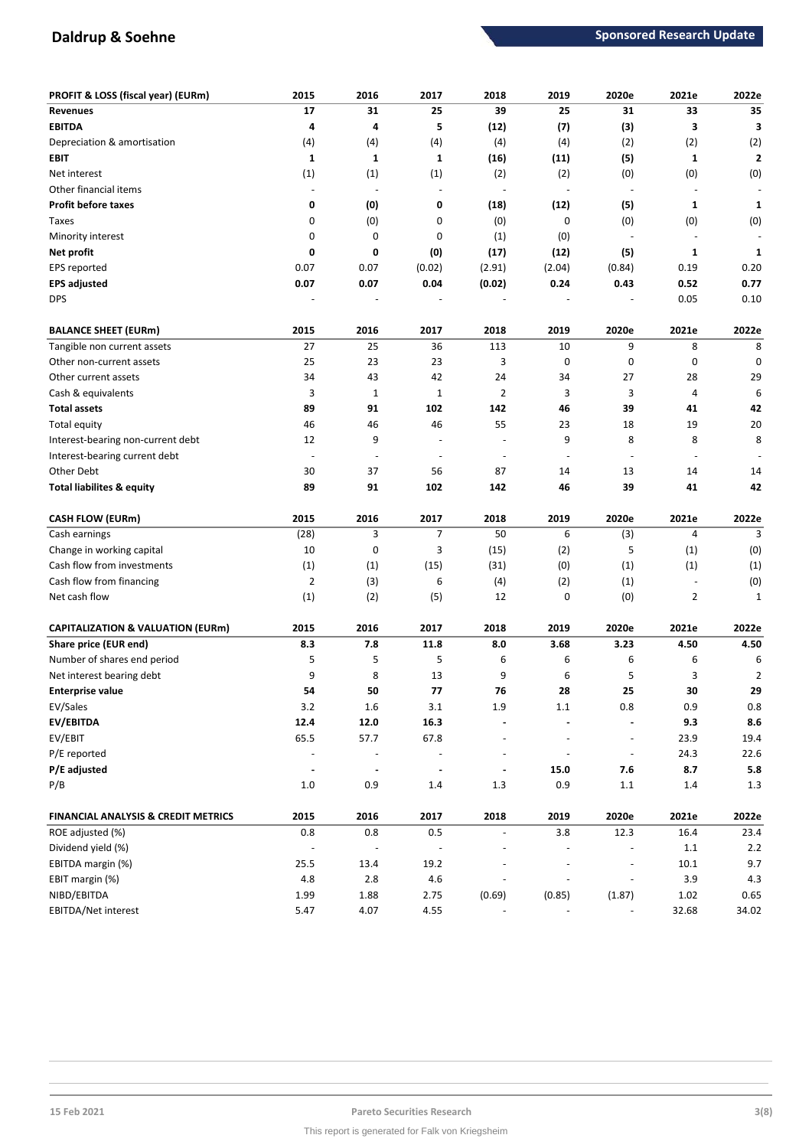## **Daldrup & Soehne Sponsored Research Update Sponsored Research Update**

| PROFIT & LOSS (fiscal year) (EURm)             | 2015                     | 2016                     | 2017                     | 2018                     | 2019                     | 2020e                    | 2021e                    | 2022e                   |
|------------------------------------------------|--------------------------|--------------------------|--------------------------|--------------------------|--------------------------|--------------------------|--------------------------|-------------------------|
| <b>Revenues</b>                                | 17                       | 31                       | 25                       | 39                       | 25                       | 31                       | 33                       | 35                      |
| <b>EBITDA</b>                                  | 4                        | 4                        | 5                        | (12)                     | (7)                      | (3)                      | 3                        | 3                       |
| Depreciation & amortisation                    | (4)                      | (4)                      | (4)                      | (4)                      | (4)                      | (2)                      | (2)                      | (2)                     |
| <b>EBIT</b>                                    | $\mathbf{1}$             | 1                        | $\mathbf{1}$             | (16)                     | (11)                     | (5)                      | 1                        | $\overline{\mathbf{2}}$ |
| Net interest                                   | (1)                      | (1)                      | (1)                      | (2)                      | (2)                      | (0)                      | (0)                      | (0)                     |
| Other financial items                          | $\blacksquare$           |                          | $\overline{a}$           | $\overline{\phantom{a}}$ | $\blacksquare$           |                          |                          |                         |
| <b>Profit before taxes</b>                     | 0                        | (0)                      | 0                        | (18)                     | (12)                     | (5)                      | 1                        | 1                       |
| Taxes                                          | 0                        | (0)                      | 0                        | (0)                      | 0                        | (0)                      | (0)                      | (0)                     |
| Minority interest                              | 0                        | 0                        | 0                        | (1)                      | (0)                      | $\overline{a}$           |                          |                         |
| Net profit                                     | 0                        | 0                        | (0)                      | (17)                     | (12)                     | (5)                      | 1                        | 1                       |
| EPS reported                                   | 0.07                     | 0.07                     | (0.02)                   | (2.91)                   | (2.04)                   | (0.84)                   | 0.19                     | 0.20                    |
| <b>EPS adjusted</b>                            | 0.07                     | 0.07                     | 0.04                     | (0.02)                   | 0.24                     | 0.43                     | 0.52                     | 0.77                    |
| <b>DPS</b>                                     |                          |                          |                          |                          |                          |                          | 0.05                     | 0.10                    |
| <b>BALANCE SHEET (EURm)</b>                    | 2015                     | 2016                     | 2017                     | 2018                     | 2019                     | 2020e                    | 2021e                    | 2022e                   |
| Tangible non current assets                    | 27                       | 25                       | 36                       | 113                      | 10                       | 9                        | 8                        | 8                       |
| Other non-current assets                       | 25                       | 23                       | 23                       | 3                        | 0                        | 0                        | 0                        | 0                       |
| Other current assets                           | 34                       | 43                       | 42                       | 24                       | 34                       | 27                       | 28                       | 29                      |
| Cash & equivalents                             | 3                        | $\mathbf 1$              | $\mathbf{1}$             | $\overline{2}$           | 3                        | 3                        | 4                        | 6                       |
| <b>Total assets</b>                            | 89                       | 91                       | 102                      | 142                      | 46                       | 39                       | 41                       | 42                      |
| Total equity                                   | 46                       | 46                       | 46                       | 55                       | 23                       | 18                       | 19                       | 20                      |
| Interest-bearing non-current debt              | 12                       | 9                        | $\overline{a}$           | $\overline{\phantom{a}}$ | 9                        | 8                        | 8                        | 8                       |
| Interest-bearing current debt                  | $\overline{\phantom{a}}$ | $\overline{\phantom{a}}$ | $\overline{\phantom{m}}$ | $\overline{\phantom{a}}$ | $\overline{\phantom{a}}$ |                          | $\overline{\phantom{a}}$ |                         |
| Other Debt                                     | 30                       | 37                       | 56                       | 87                       | 14                       | 13                       | 14                       | 14                      |
| <b>Total liabilites &amp; equity</b>           | 89                       | 91                       | 102                      | 142                      | 46                       | 39                       | 41                       | 42                      |
| <b>CASH FLOW (EURm)</b>                        | 2015                     | 2016                     | 2017                     | 2018                     | 2019                     | 2020e                    | 2021e                    | 2022e                   |
| Cash earnings                                  | (28)                     | 3                        | $\overline{7}$           | 50                       | 6                        | (3)                      | $\overline{4}$           | 3                       |
| Change in working capital                      | 10                       | 0                        | 3                        | (15)                     | (2)                      | 5                        | (1)                      | (0)                     |
| Cash flow from investments                     | (1)                      | (1)                      | (15)                     | (31)                     | (0)                      | (1)                      | (1)                      | (1)                     |
| Cash flow from financing                       | 2                        | (3)                      | 6                        | (4)                      | (2)                      | (1)                      |                          | (0)                     |
| Net cash flow                                  | (1)                      | (2)                      | (5)                      | 12                       | 0                        | (0)                      | $\overline{2}$           | 1                       |
| <b>CAPITALIZATION &amp; VALUATION (EURm)</b>   | 2015                     | 2016                     | 2017                     | 2018                     | 2019                     | 2020e                    | 2021e                    | 2022e                   |
| Share price (EUR end)                          | 8.3                      | 7.8                      | 11.8                     | 8.0                      | 3.68                     | 3.23                     | 4.50                     | 4.50                    |
| Number of shares end period                    | 5                        | 5                        | 5                        | 6                        | 6                        | 6                        | 6                        | 6                       |
| Net interest bearing debt                      | 9                        | 8                        | 13                       | 9                        | 6                        | 5                        | 3                        | $\overline{2}$          |
| <b>Enterprise value</b>                        | 54                       | 50                       | 77                       | 76                       | 28                       | 25                       | 30                       | 29                      |
| EV/Sales                                       | $3.2\,$                  | $1.6\,$                  | $3.1\,$                  | 1.9                      | $1.1\,$                  | 0.8                      | 0.9                      | $0.8\,$                 |
| EV/EBITDA                                      | 12.4                     | 12.0                     | 16.3                     |                          |                          |                          | 9.3                      | $\bf 8.6$               |
| EV/EBIT                                        | 65.5                     | 57.7                     | 67.8                     | $\overline{\phantom{a}}$ | $\blacksquare$           | $\bar{\phantom{a}}$      | 23.9                     | 19.4                    |
| P/E reported                                   |                          | $\overline{\phantom{a}}$ |                          | $\overline{\phantom{a}}$ | $\overline{\phantom{a}}$ | $\overline{\phantom{a}}$ | 24.3                     | 22.6                    |
| P/E adjusted                                   | $\blacksquare$           |                          | $\overline{a}$           | $\blacksquare$           | 15.0                     | 7.6                      | 8.7                      | 5.8                     |
| P/B                                            | $1.0\,$                  | 0.9                      | $1.4\,$                  | 1.3                      | 0.9                      | $1.1\,$                  | $1.4\,$                  | $1.3$                   |
|                                                |                          |                          |                          |                          |                          |                          |                          |                         |
| <b>FINANCIAL ANALYSIS &amp; CREDIT METRICS</b> | 2015                     | 2016                     | 2017                     | 2018                     | 2019                     | 2020e                    | 2021e                    | 2022e                   |
| ROE adjusted (%)                               | 0.8                      | 0.8                      | 0.5                      | $\overline{\phantom{a}}$ | 3.8                      | 12.3                     | 16.4                     | 23.4                    |
| Dividend yield (%)                             |                          |                          |                          |                          |                          |                          | $1.1\,$                  | $2.2\,$                 |
| EBITDA margin (%)                              | 25.5                     | 13.4                     | 19.2                     |                          |                          |                          | 10.1                     | 9.7                     |
| EBIT margin (%)                                | 4.8                      | $2.8\,$                  | $4.6\,$                  |                          |                          | $\overline{\phantom{a}}$ | 3.9                      | 4.3                     |
|                                                |                          |                          |                          |                          |                          |                          |                          |                         |
| NIBD/EBITDA<br>EBITDA/Net interest             | 1.99<br>5.47             | 1.88<br>4.07             | 2.75<br>4.55             | (0.69)                   | (0.85)                   | (1.87)                   | 1.02<br>32.68            | 0.65<br>34.02           |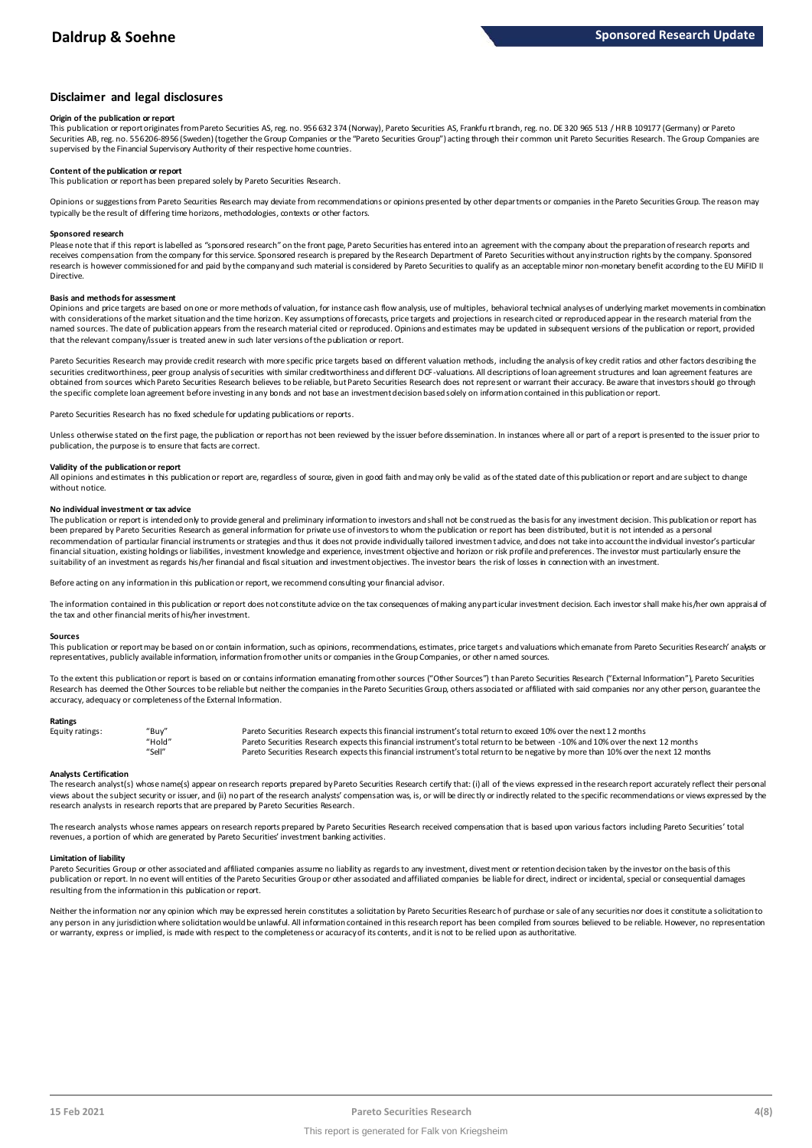#### **Disclaimer and legal disclosures**

#### **Origin of the publication or report**

This publication or report originates from Pareto Securities AS, reg. no. 956 632 374 (Norway), Pareto Securities AS, Frankfu rt branch, reg. no. DE 320 965 513 / HR B 109177 (Germany) or Pareto Securities AB, reg. no. 556206-8956 (Sweden) (together the Group Companies or the "Pareto Securities Group") acting through their common unit Pareto Securities Research. The Group Companies are supervised by the Financial Supervisory Authority of their respective home countries.

#### **Content of the publication or report**

This publication or report has been prepared solely by Pareto Securities Research.

Opinions or suggestions from Pareto Securities Research may deviate from recommendations or opinions presented by other departments or companies in the Pareto Securities Group. The reason may typically be the result of differing time horizons, methodologies, contexts or other factors.

#### **Sponsored research**

Please note that if this report is labelled as "sponsored research" on the front page, Pareto Securities has entered into an agreement with the company about the preparation of research reports and receives compensation from the company for this service. Sponsored research is prepared by the Research Department of Pareto Securities without any instruction rights by the company. Sponsored research is however commissioned for and paid by the company and such material is considered by Pareto Securities to qualify as an acceptable minor non-monetary benefit according to the EU MiFID II Directive.

#### **Basis and methods for assessment**

Opinions and price targets are based on one or more methods of valuation, for instance cash flow analysis, use of multiples, behavioral technical analyses of underlying market movements in combination with considerations of the market situation and the time horizon. Key assumptions of forecasts, price targets and projections in research cited or reproduced appear in the research material from the named sources. The date of publication appears from the research material cited or reproduced. Opinions and estimates may be updated in subsequent versions of the publication or report, provided in and social cited or repo that the relevant company/issuer is treated anew in such later versions of the publication or report.

Pareto Securities Research may provide credit research with more specific price targets based on different valuation methods, including the analysis of key credit ratios and other factors describing the securities creditworthiness, peer group analysis of securities with similar creditworthiness and different DCF-valuations. All descriptions of loan agreement structures and loan agreement features are obtained from sources which Pareto Securities Research believes to be reliable, but Pareto Securities Research does not represent or warrant their accuracy. Be aware that investors should go through the specific complete loan agreement before investing in any bonds and not base an investment decision based solely on information contained in this publication or report.

Pareto Securities Research has no fixed schedule for updating publications or reports.

Unless otherwise stated on the first page, the publication or report has not been reviewed by the issuer before dissemination. In instances where all or part of a report is presented to the issuer prior to publication, the purpose is to ensure that facts are correct.

#### **Validity of the publication or report**

All opinions and estimates in this publication or report are, regardless of source, given in good faith and may only be valid as of the stated date of this publication or report and are subject to change without notice

#### **No individual investment or tax advice**

The publication or report is intended only to provide general and preliminary information to investors and shall not be construed as the basis for any investment decision. This publication or report has been prepared by Pareto Securities Research as general information for private use of investors to whom the publication or report has been distributed, but it is not intended as a personal recommendation of particular financial instruments or strategies and thus it does not provide individually tailored investmen t advice, and does not take into account the individual investor's particular financial situation, existing holdings or liabilities, investment knowledge and experience, investment objective and horizon or risk profile and preferences. The investor must particularly ensure the suitability of an investment as regards his/her financial and fiscal situation and investment objectives. The investor bears the risk of losses in connection with an investment.

Before acting on any information in this publication or report, we recommend consulting your financial advisor.

The information contained in this publication or report does not constitute advice on the tax consequences of making any particular investment decision. Each investor shall make his/her own appraisal of the tax and other financial merits of his/her investment.

#### **Sources**

This publication or report may be based on or contain information, such as opinions, recommendations, estimates, price targets and valuations which emanate from Pareto Securities Research' analysts or representatives, publicly available information, information from other units or companies in the Group Companies, or other named sources.

To the extent this publication or report is based on or contains information emanating from other sources "Other Sources") than Pareto Securities Research ("External Information"), Pareto Securities Research has deemed the Other Sources to be reliable but neither the companies in the Pareto Securities Group, others associated or affiliated with said companies nor any other person, guarantee the accuracy, adequacy or completeness of the External Information.

#### **Ratings**

| Equity ratings: | "Buy"  | Pareto Securities Research expects this financial instrument's total return to exceed 10% over the next 12 months                   |
|-----------------|--------|-------------------------------------------------------------------------------------------------------------------------------------|
|                 | "Hold" | Pareto Securities Research expects this financial instrument's total return to be between -10% and 10% over the next 12 months      |
|                 | "Sell" | Pareto Securities Research expects this financial instrument's total return to be negative by more than 10% over the next 12 months |

Analysts Certification<br>The research analyst(s) whose name(s) appear on research reports prepared by Pareto Securities Research certify that: (i) all of the views expressed in the research report accurately reflect their pe "Hold"<br>"Pareto Securities Research expects this financial instrument's total return to be between -10% and 10% over the next 12 months<br>"Sell" Pareto Securities Research expects this financial instrument's total return to b research analysts in research reports that are prepared by Pareto Securities Research.

The research analysts whose names appears on research reports prepared by Pareto Securities Research received compensation that is based upon various factors including Pareto Securities' total revenues, a portion of which are generated by Pareto Securities' investment banking activities.

#### **Limitation of liability**

Pareto Securities Group or other associated and affiliated companies assume no liability as regards to any investment, divest ment or retention decision taken by the investor on the basis of this publication or report. In no event will entities of the Pareto Securities Group or other associated and affiliated companies be liable for direct, indirect or incidental, special or consequential damages resulting from the information in this publication or report.

Neither the information nor any opinion which may be expressed herein constitutes a solicitation by Pareto Securities Research of purchase or sale of any securities nor does it constitute a solicitation to any person in any jurisdiction where solidtation would be unlawful. All information contained in this research report has been compiled from sources believed to be reliable. However, no representation or warranty, express or implied, is made with respect to the completeness or accuracy of its contents, and it is not to be relied upon as authoritative.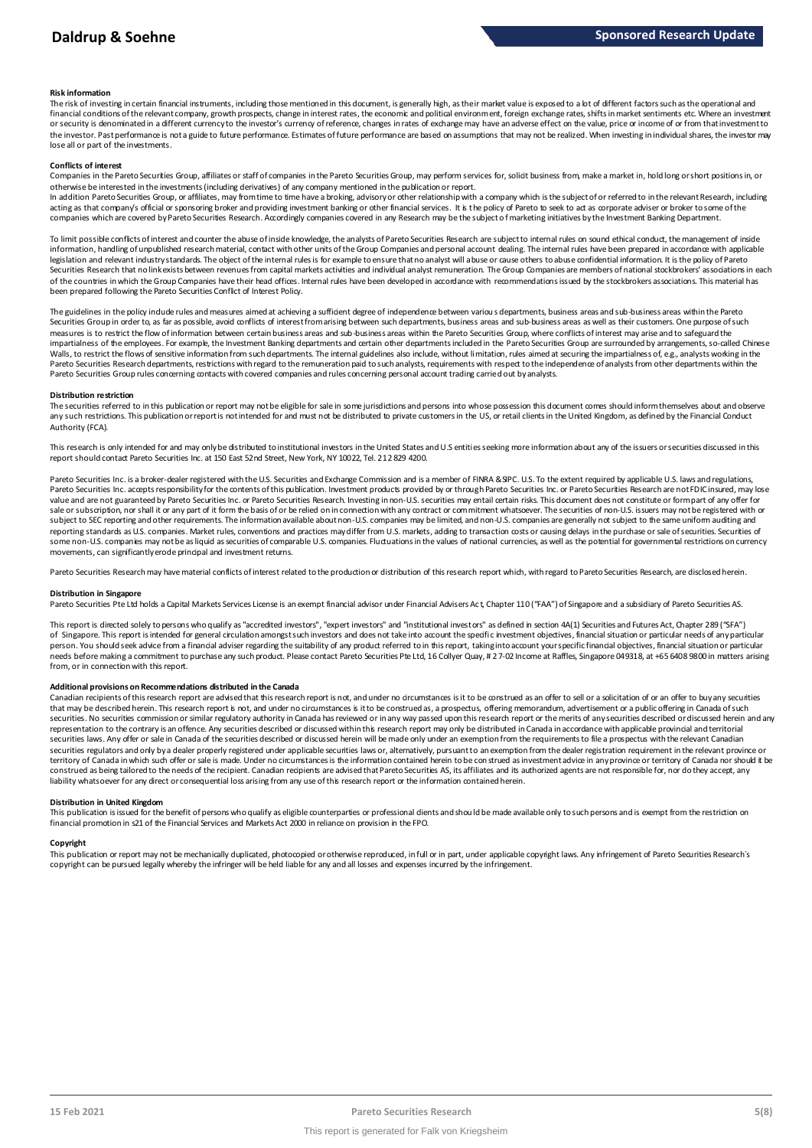#### **Risk information**

The risk of investing in certain financial instruments, including those mentioned in this document, is generally high, as their market value is exposed to a lot of different factors such as the operational and financial conditions of the relevant company, growth prospects, change in interest rates, the economic and political environment, foreign exchange rates, shifts in market sentiments etc. Where an investment or security is denominated in a different currency to the investor's currency of reference, changes in rates of exchange may have an adverse effect on the value, price or income of or from that investment to the investor. Past performance is not a guide to future performance. Estimates of future performance are based on assumptions that may not be realized. When investing in individual shares, the investor may lose all or part of the investments.

#### **Conflicts of interest**

Companies in the Pareto Securities Group, affiliates or staff of companies in the Pareto Securities Group, may perform services for, solicit business from, make a market in, hold long or short positions in, or otherwise be interested in the investments (including derivatives) of any company mentioned in the publication or report.

In addition Pareto Securities Group, or affiliates, may from time to time have a broking, advisory or other relationship with a company which is the subject of or referred to in the relevant Research, including acting as that company's official or sponsoring broker and providing investment banking or other financial services. It is the policy of Pareto to seek to act as corporate adviser or broker to some of the companies which are covered by Pareto Securities Research. Accordingly companies covered in any Research may be the subject o f marketing initiatives by the Investment Banking Department.

To limit possible conflicts of interest and counter the abuse of inside knowledge, the analysts of Pareto Securities Research are subject to internal rules on sound ethical conduct, the management of inside<br>information, ha legislation and relevant industry standards. The object of the internal rules is for example to ensure that no analyst will abuse or cause others to abuse confidential information. It is the policy of Pareto Securities Research that no link exists between revenues from capital markets activities and individual analyst remuneration. The Group Companies are members of national stockbrokers' associations in each of the countries in which the Group Companies have their head offices. Internal rules have been developed in accordance with recommendations issued by the stockbrokers associations. This material has been prepared following the Pareto Securities Conflict of Interest Policy.

The guidelines in the policy indude rules and measures aimed at achieving a sufficient degree of independence between variou s departments, business areas and sub-business areas within the Pareto Securities Group in order to, as far as possible, avoid conflicts of interest from arising between such departments, business areas and sub-business areas as well as their customers. One purpose of such measures is to restrict the flow of information between certain business areas and sub-business areas within the Pareto Securities Group, where conflicts of interest may arise and to safeguard the impartialness of the employees. For example, the Investment Banking departments and certain other departments included in the Pareto Securities Group are surrounded by arrangements, so-called Chinese Walls, to restrict the flows of sensitive information from such departments. The internal guidelines also include, without limitation, rules aimed at securing the impartialness of, e.g., analysts working in the Pareto Securities Research departments, restrictions with regard to the remuneration paid to such analysts, requirements with respect to the independence of analysts from other departments within the Pareto Securities Group rules concerning contacts with covered companies and rules concerning personal account trading carried out by analysts.

#### **Distribution restriction**

The securities referred to in this publication or report may not be eligible for sale in some jurisdictions and persons into whose possession this document comes should inform themselves about and observe Pareto Securities Group rules concerning contacts with covered companies and rules concerning personal account trading carried out by analysts.<br>Distribution restriction<br>The securities referred to in this publication or rep Authority (FCA).

This research is only intended for and may only be distributed to institutional investors in the United States and U.S entities seeking more information about any of the issuers or securities discussed in this report should contact Pareto Securities Inc. at 150 East 52nd Street, New York, NY 10022, Tel. 212 829 4200.

Pareto Securities Inc. is a broker-dealer registered with the U.S. Securities and Exchange Commission and is a member of FINRA & SIPC. U.S. To the extent required by applicable U.S. laws and regulations, Pareto Securities Inc. accepts responsibility for the contents of this publication. Investment products provided by or through Pareto Securities Inc. or Pareto Securities Research are not FDIC insured, may lose value and are not guaranteed by Pareto Securities Inc. or Pareto Securities Research. Investing in non-U.S. securities may entail certain risks. This document does not constitute or form part of any offer for sale or subscription, nor shall it or any part of it form the basis of or be relied on in connection with any contract or commitment whatsoever. The securities of non-U.S. issuers may not be registered with or subject to SEC reporting and other requirements. The information available about non-U.S. companies may be limited, and non-U.S. companies are generally not subject to the same uniform auditing and reporting standards as U.S. companies. Market rules, conventions and practices may differ from U.S. markets, adding to transaction costs or causing delays in the purchase or sale of securities. Securities of some non-U.S. companies may not be as liquid as securities of comparable U.S. companies. Fluctuations in the values of national currencies, as well as the potential for governmental restrictions on currency movements, can significantly erode principal and investment returns.

Pareto Securities Research may have material conflicts of interest related to the production or distribution of this research report which, with regard to Pareto Securities Research, are disclosed herein.

#### **Distribution in Singapore**

Pareto Securities Pte Ltd holds a Capital Markets Services License is an exempt financial advisor under Financial Advisers Act, Chapter 110 ("FAA") of Singapore and a subsidiary of Pareto Securities AS.

This report is directed solely to persons who qualify as "accredited investors", "expert investors" and "institutional investors" as defined in section 4A(1) Securities and Futures Act, Chapter 289 ("SFA") Distribution in Singapore<br>Pareto Securities Pte Ltd holds a Capital Markets Services License is an exempt financial advisor under Financial Advisers Act, Chapter 110 ("FAA") of Singapore and a subsidiary of Pareto Securiti person. You should seek advice from a financial adviser regarding the suitability of any product referred to in this report, taking into account your specific financial objectives, financial situation or particular needs before making a commitment to purchase any such product. Please contact Pareto Securities Pte Ltd, 16 Collyer Quay, # 2 7-02 Income at Raffles, Singapore 049318, at +65 6408 9800 in matters arising from, or in connection with this report.

Additional provisions on Recommendations distributed in the Canada<br>Canadian recipients of this research report are advised that this research report is not, and under no drecumstances is it to be construed as an offer to s that may be described herein. This research report is not, and under no circumstances is it to be construed as, a prospectus, offering memorandum, advertisement or a public offering in Canada of such from, or in connection with this report.<br>Additional provisions on Recommendations distributed in the Canada<br>Canadian recipients of this research report are advised that this research report is not, and under no circumstanc representation to the contrary is an offence. Any securities described or discussed within this research report may only be distributed in Canada in accordance with applicable provincial and territorial<br>securities laws. An securities regulators and only by a dealer properly registered under applicable securities laws or, alternatively, pursuant to an exemption from the dealer registration requirement in the relevant province or territory of Canada in which such offer or sale is made. Under no circumstances is the information contained herein to be con strued as investment advice in any province or territory of Canada nor should it be<br>construed as liability whatsoever for any direct or consequential loss arising from any use of this research report or the information contained herein.

#### **Distribution in United Kingdom**

This publication is issued for the benefit of persons who qualify as eligible counterparties or professional dients and should be made available only to such persons and is exempt from the restriction on financial promotion in s21 of the Financial Services and Markets Act 2000 in reliance on provision in the FPO.

#### **Copyright**

This publication or report may not be mechanically duplicated, photocopied or otherwise reproduced, in full or in part, under applicable copyright laws. Any infringement of Pareto Securities Research's copyright can be pursued legally whereby the infringer will be held liable for any and all losses and expenses incurred by the infringement.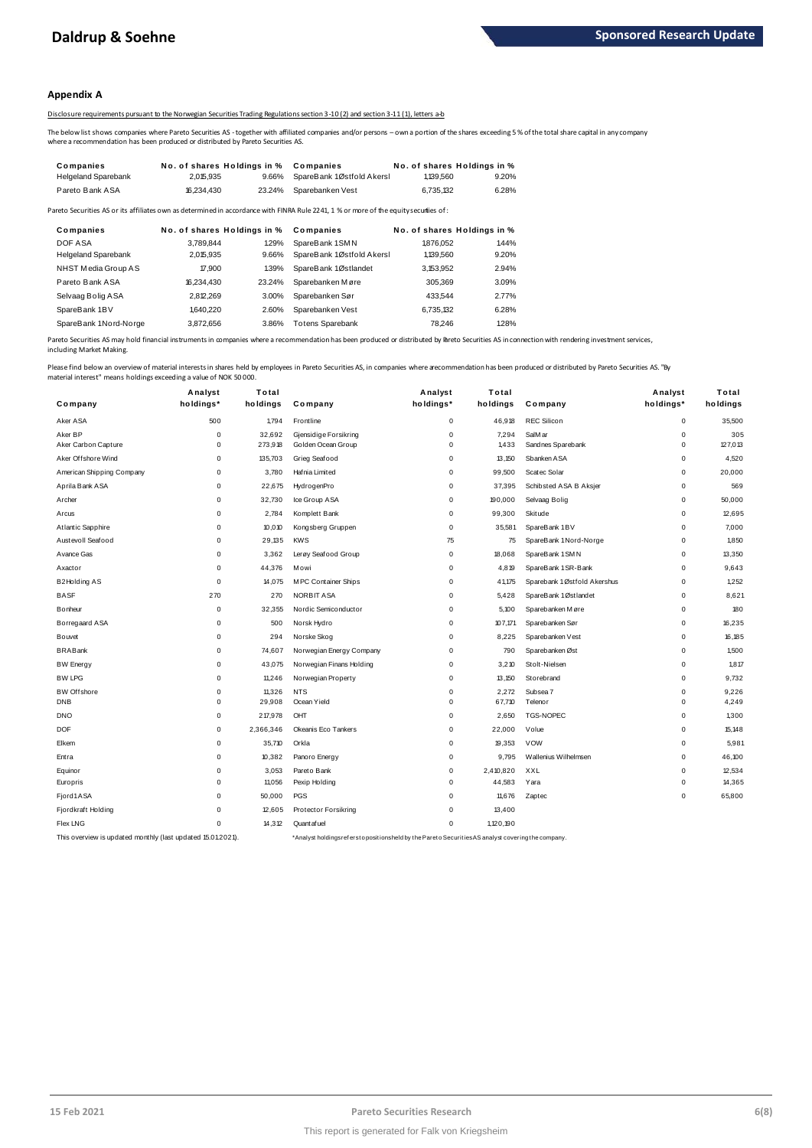#### **Appendix A**

#### Disclosure requirements pursuant to the Norwegian Securities Trading Regulations section 3-10 (2) and section 3-11 (1), letters a-b

The below list shows companies where Pareto Securities AS - together with affiliated companies and/or persons – own a portion of the shares exceeding 5 % of the total share capital in any company<br>where a recommendation has

|                            |                                                                                  |        | Disclosure requirements pursuant to the Norwegian Securities Trading Regulations section 3-10(2) and section 3-11(1). letters a-b                      |           |                             |
|----------------------------|----------------------------------------------------------------------------------|--------|--------------------------------------------------------------------------------------------------------------------------------------------------------|-----------|-----------------------------|
|                            | where a recommendation has been produced or distributed by Pareto Securities AS. |        | The below list shows companies where Pareto Securities AS -together with affiliated companies and/or persons – own a portion of the shares exceeding 5 |           |                             |
| Companies                  | No. of shares Holdings in % Companies                                            |        |                                                                                                                                                        |           | No. of shares Holdings in % |
| <b>Helgeland Sparebank</b> | 2.015.935                                                                        | 9.66%  | SpareBank 1Østfold Akersl                                                                                                                              | 1.139.560 | 9.20%                       |
| Pareto Bank ASA            | 16.234.430                                                                       | 23.24% | Sparebanken Vest                                                                                                                                       | 6.735.132 | 6.28%                       |
|                            |                                                                                  |        | Pareto Securities AS or its affiliates own as determined in accordance with FINRA Rule 2241, 1 % or more of the equity securiies of :                  |           |                             |
| Companies                  | No. of shares Holdings in % Companies                                            |        |                                                                                                                                                        |           | No. of shares Holdings in % |
| DOF A SA                   | 3.789.844                                                                        | 1.29%  | SpareBank 1SMN                                                                                                                                         | 1876.052  | 1.44%                       |

| Pareto Bank ASA            | 10.234.43U                  | 23.24% | Sparepanken vest                                                                                                                      | 0.730.132                   | <b>0.20%</b> |
|----------------------------|-----------------------------|--------|---------------------------------------------------------------------------------------------------------------------------------------|-----------------------------|--------------|
|                            |                             |        | Pareto Securities AS or its affiliates own as determined in accordance with FINRA Rule 2241, 1 % or more of the equity securiies of : |                             |              |
| Companies                  | No. of shares Holdings in % |        | Companies                                                                                                                             | No. of shares Holdings in % |              |
| DOF ASA                    | 3.789.844                   | 1.29%  | SpareBank 1SMN                                                                                                                        | 1876.052                    | 1.44%        |
| <b>Helgeland Sparebank</b> | 2.015.935                   | 9.66%  | SpareBank 1Østfold Akersl                                                                                                             | 1.139.560                   | 9.20%        |
| NHST Media Group AS        | 17,900                      | 1.39%  | SpareBank 1Østlandet                                                                                                                  | 3.153.952                   | 2.94%        |
| Pareto Bank ASA            | 16,234,430                  | 23.24% | Sparebanken Møre                                                                                                                      | 305.369                     | 3.09%        |
| Selvaag Bolig ASA          | 2.812.269                   | 3.00%  | Sparebanken Sør                                                                                                                       | 433.544                     | 2.77%        |
| SpareBank 1BV              | 1.640.220                   | 2.60%  | Sparebanken Vest                                                                                                                      | 6.735.132                   | 6.28%        |
| SpareBank 1Nord-Norge      | 3.872.656                   | 3.86%  | <b>Totens Sparebank</b>                                                                                                               | 78.246                      | 1.28%        |
|                            |                             |        |                                                                                                                                       |                             |              |

Pareto Securities AS may hold financial instruments in companies where a recommendation has been produced or distributed by Pareto Securities AS in connection with rendering investment services, including Market Making.

|                           | Analyst     | Total     |                          | Analyst     | Total     |                             | Analyst     | Total    |
|---------------------------|-------------|-----------|--------------------------|-------------|-----------|-----------------------------|-------------|----------|
| Company                   | holdings*   | holdings  | Company                  | holdings*   | holdings  | Company                     | holdings*   | holdings |
| Aker ASA                  | 500         | 1,794     | Frontline                | 0           | 46,918    | <b>REC Silicon</b>          | $\mathbf 0$ | 35,500   |
| Aker BP                   | $\Omega$    | 32,692    | Gjensidige Forsikring    | $\pmb{0}$   | 7,294     | SalM ar                     | $\mathbf 0$ | 305      |
| Aker Carbon Capture       | $\mathbf 0$ | 273,918   | Golden Ocean Group       | $\mathbf 0$ | 1,433     | Sandnes Sparebank           | $\mathbf 0$ | 127,013  |
| Aker Offshore Wind        | $\Omega$    | 135,703   | Grieg Seafood            | $\Omega$    | 13,150    | Sbanken ASA                 | $\mathbf 0$ | 4,520    |
| American Shipping Company | 0           | 3,780     | Hafnia Limited           | $\mathbf 0$ | 99,500    | Scatec Solar                | $\pmb{0}$   | 20,000   |
| Aprila Bank ASA           | 0           | 22,675    | HydrogenPro              | $\mathbf 0$ | 37,395    | Schibsted ASA B Aksjer      | $\pmb{0}$   | 569      |
| Archer                    | 0           | 32,730    | Ice Group ASA            | 0           | 190,000   | Selvaag Bolig               | 0           | 50,000   |
| Arcus                     | 0           | 2,784     | Komplett Bank            | $\mathbf 0$ | 99,300    | Skitude                     | $\mathbf 0$ | 12,695   |
| Atlantic Sapphire         | 0           | 10,010    | Kongsberg Gruppen        | $\pmb{0}$   | 35,581    | SpareBank 1BV               | $\mathbf 0$ | 7,000    |
| Austevoll Seafood         | $\Omega$    | 29,135    | <b>KWS</b>               | 75          | 75        | SpareBank 1 Nord-Norge      | $\mathbf 0$ | 1,850    |
| Avance Gas                | $\Omega$    | 3,362     | Lerøy Seafood Group      | $\mathbf 0$ | 18,068    | SpareBank 1 SMN             | $\mathbf 0$ | 13,350   |
| Axactor                   | $\mathbf 0$ | 44,376    | Mowi                     | $\mathbf 0$ | 4,819     | SpareBank 1 SR-Bank         | $\mathbf 0$ | 9,643    |
| B2Holding AS              | $\mathbf 0$ | 14,075    | M PC Container Ships     | $\mathbf 0$ | 41,175    | Sparebank 1Østfold Akershus | $\pmb{0}$   | 1.252    |
| <b>BASF</b>               | 270         | 270       | NORBIT ASA               | $\pmb{0}$   | 5,428     | SpareBank 1Østlandet        | $\pmb{0}$   | 8,621    |
| <b>B</b> onheur           | 0           | 32,355    | Nordic Semiconductor     | $\mathbf 0$ | 5,100     | Sparebanken Møre            | $\mathbf 0$ | 180      |
| Borregaard ASA            | 0           | 500       | Norsk Hydro              | $\Omega$    | 107,171   | Sparebanken Sør             | $\mathbf 0$ | 16,235   |
| Bouvet                    | $\Omega$    | 294       | Norske Skog              | $\mathbf 0$ | 8,225     | Sparebanken Vest            | $\mathbf 0$ | 16,185   |
| <b>BRABank</b>            | $\mathbf 0$ | 74,607    | Norwegian Energy Company | $\mathbf 0$ | 790       | Sparebanken Øst             | $\mathbf 0$ | 1,500    |
| <b>BW</b> Energy          | 0           | 43,075    | Norwegian Finans Holding | $\mathbf 0$ | 3,210     | Stolt-Nielsen               | $\pmb{0}$   | 1,817    |
| <b>BW LPG</b>             | 0           | 11,246    | Norwegian Property       | $\mathbf 0$ | 13,150    | Storebrand                  | $\pmb{0}$   | 9,732    |
| <b>BW</b> Offshore        | 0           | 11,326    | <b>NTS</b>               | $\mathbf 0$ | 2,272     | Subsea 7                    | $\mathbf 0$ | 9,226    |
| <b>DNB</b>                | 0           | 29,908    | Ocean Yield              | $\mathbf 0$ | 67,710    | Telenor                     | $\mathbf 0$ | 4,249    |
| <b>DNO</b>                | 0           | 217,978   | OHT                      | $\mathbf 0$ | 2,650     | <b>TGS-NOPEC</b>            | $\mathbf 0$ | 1,300    |
| <b>DOF</b>                | $\Omega$    | 2,366,346 | Okeanis Eco Tankers      | $\Omega$    | 22,000    | Volue                       | $\mathbf 0$ | 15,148   |
| Elkem                     | 0           | 35,710    | Orkla                    | $\mathbf 0$ | 19,353    | <b>VOW</b>                  | $\mathbf 0$ | 5,981    |
| Entra                     | $\mathbf 0$ | 10,382    | Panoro Energy            | $\mathbf 0$ | 9,795     | Wallenius Wilhelmsen        | $\mathbf 0$ | 46,100   |
| Equinor                   | 0           | 3,053     | Pareto Bank              | 0           | 2,410,820 | XXL                         | $\mathbf 0$ | 12,534   |
| Europris                  | 0           | 11,056    | Pexip Holding            | $\mathbf 0$ | 44,583    | Yara                        | $\mathbf 0$ | 14,365   |
| Fjord1ASA                 | $\Omega$    | 50,000    | PGS                      | $\Omega$    | 11,676    | Zaptec                      | $\mathbf 0$ | 65,800   |
| Fjordkraft Holding        | 0           | 12,605    | Protector Forsikring     | $\mathbf 0$ | 13,400    |                             |             |          |
| <b>Flex LNG</b>           | 0           | 14,312    | Quant af uel             | $\mathbf 0$ | 1,120,190 |                             |             |          |

This overview is updated monthly (last updated 15.01.2021). \*Analyst holdings ref ers t o posit ions held by t he Paret o Securit ies AS analyst covering t he company.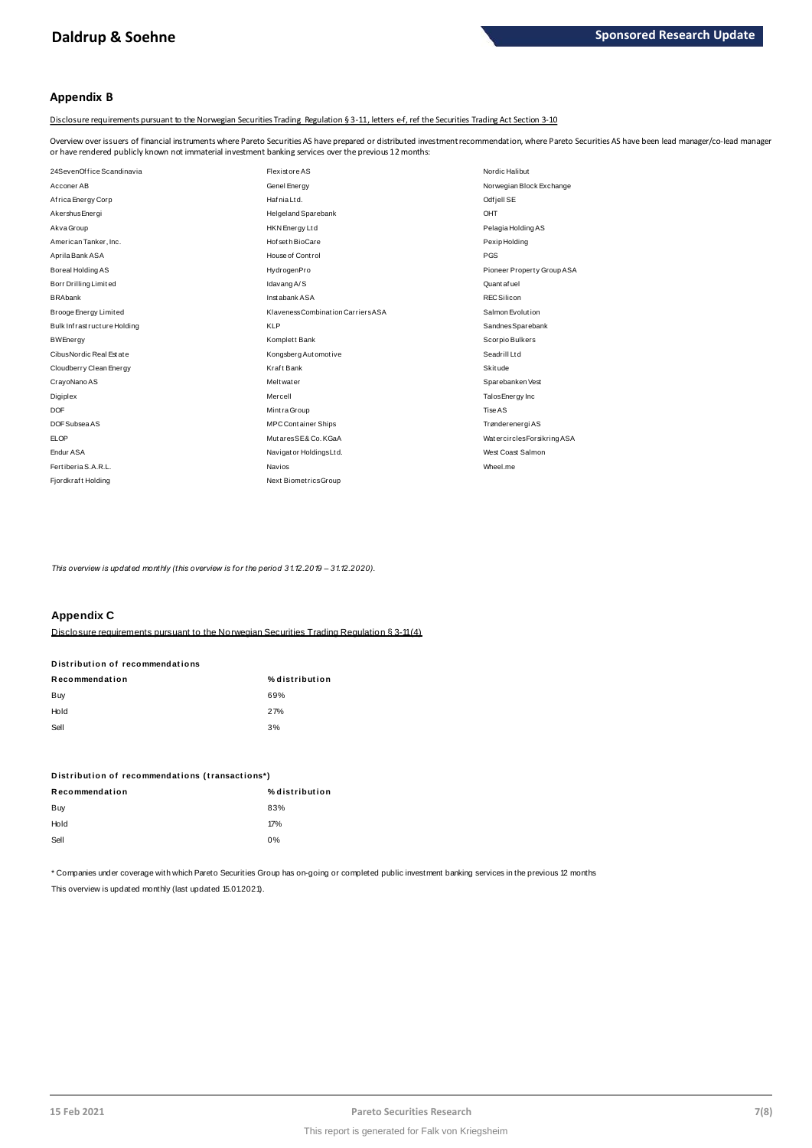#### **Appendix B**

Disclosure requirements pursuant to the Norwegian Securities Trading Regulation § 3-11, letters e-f, ref the Securities Trading Act Section 3-10

Overview over issuers of financial instruments where Pareto Securities AS have prepared or distributed investment recommendation, where Pareto Securities AS have been lead manager/co-lead manager<br>or have rendered publicly or have rendered publicly known not immaterial investment banking services over the previous 12 months:

| 24SevenOffice Scandinavia   | <b>Flexistore AS</b>               | Nordic Halibut             |
|-----------------------------|------------------------------------|----------------------------|
| Acconer AB                  | Genel Energy                       | Norwegian Block Exchange   |
| Africa Energy Corp          | Hafnia Ltd.                        | Odfjell SE                 |
| Akershus Energi             | Helgeland Sparebank                | OHT                        |
| Akva Group                  | <b>HKN</b> Energy Ltd              | Pelagia Holding AS         |
| American Tanker, Inc.       | Hof set h BioCare                  | Pexip Holding              |
| Aprila Bank ASA             | House of Control                   | PGS                        |
| Boreal Holding AS           | HydrogenPro                        | Pioneer Property Group ASA |
| Borr Drilling Limited       | Idavang A/S                        | Quantafuel                 |
| <b>BRAbank</b>              | Instabank ASA                      | REC Silicon                |
| Brooge Energy Limited       | Klaveness Combination Carriers ASA | Salmon Evolution           |
| Bulk Infrastructure Holding | <b>KLP</b>                         | SandnesSparebank           |
| <b>BWEnergy</b>             | Komplett Bank                      | Scorpio Bulkers            |
| Cibus Nordic Real Estate    | Kongsberg Automotive               | SeadrillLtd                |
| Cloudberry Clean Energy     | Kraft Bank                         | Skitude                    |
| CrayoNano AS                | <b>Meltwater</b>                   | Sparebanken Vest           |
| Digiplex                    | Mercell                            | Talos Energy Inc           |
| <b>DOF</b>                  | Mintra Group                       | Tise AS                    |
| DOF Subsea AS               | <b>MPC Container Ships</b>         | Trønderenergi AS           |
| <b>ELOP</b>                 | MutaresSE& Co. KGaA                | WatercirclesForsikring ASA |
| <b>Endur ASA</b>            | Navigator HoldingsLtd.             | West Coast Salmon          |
| Fertiberia S.A.R.L.         | Navios                             | Wheel.me                   |
| Fjordkraft Holding          | Next BiometricsGroup               |                            |
|                             |                                    |                            |

*This overview is updated monthly (this overview is for the period 31.12.2019 – 31.12.2020).*

#### **Appendix C**

Disclosure requirements pursuant to the Norwegian Securities Trading Regulation § 3-11 (4)

# **Distribution of recommendations Disclosure requirements pursuant to<br>Distribution of recommendations**<br>-

| Recommendation | % distribution |
|----------------|----------------|
| Buy            | 69%            |
| Hold           | 27%            |
| Sell           | 3%             |

# **Dom**<br>Distribution of recommendations (transactions\*)<br>-

| Distribution of recommendations (transactions*) |                |  |  |  |
|-------------------------------------------------|----------------|--|--|--|
| Recommendation                                  | % distribution |  |  |  |
| Buy                                             | 83%            |  |  |  |
| Hold                                            | 17%            |  |  |  |
| Sell                                            | 0%             |  |  |  |
|                                                 |                |  |  |  |

\* Companies under coverage with which Pareto Securities Group has on-going or completed public investment banking services in the previous 12 months This overview is updated monthly (last updated 15.01.2021).